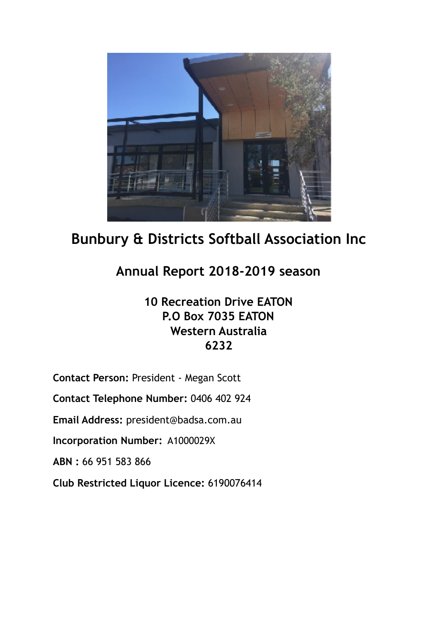

# **Bunbury & Districts Softball Association Inc**

## **Annual Report 2018-2019 season**

## **10 Recreation Drive EATON P.O Box 7035 EATON Western Australia 6232**

**Contact Person:** President - Megan Scott

**Contact Telephone Number:** 0406 402 924

**Email Address:** president@badsa.com.au

**Incorporation Number:** A1000029X

**ABN :** 66 951 583 866

**Club Restricted Liquor Licence:** 6190076414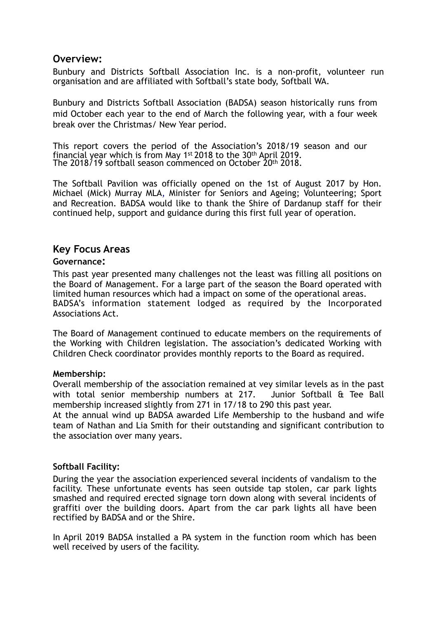## **Overview:**

Bunbury and Districts Softball Association Inc. is a non-profit, volunteer run organisation and are affiliated with Softball's state body, Softball WA.

Bunbury and Districts Softball Association (BADSA) season historically runs from mid October each year to the end of March the following year, with a four week break over the Christmas/ New Year period.

This report covers the period of the Association's 2018/19 season and our financial year which is from May 1st 2018 to the 30th April 2019. The 2018/19 softball season commenced on October 20th 2018.

The Softball Pavilion was officially opened on the 1st of August 2017 by Hon. Michael (Mick) Murray MLA, Minister for Seniors and Ageing; Volunteering; Sport and Recreation. BADSA would like to thank the Shire of Dardanup staff for their continued help, support and guidance during this first full year of operation.

## **Key Focus Areas**

#### **Governance:**

This past year presented many challenges not the least was filling all positions on the Board of Management. For a large part of the season the Board operated with limited human resources which had a impact on some of the operational areas. BADSA's information statement lodged as required by the Incorporated Associations Act.

The Board of Management continued to educate members on the requirements of the Working with Children legislation. The association's dedicated Working with Children Check coordinator provides monthly reports to the Board as required.

#### **Membership:**

Overall membership of the association remained at vey similar levels as in the past with total senior membership numbers at 217. Junior Softball & Tee Ball membership increased slightly from 271 in 17/18 to 290 this past year.

At the annual wind up BADSA awarded Life Membership to the husband and wife team of Nathan and Lia Smith for their outstanding and significant contribution to the association over many years.

#### **Softball Facility:**

During the year the association experienced several incidents of vandalism to the facility. These unfortunate events has seen outside tap stolen, car park lights smashed and required erected signage torn down along with several incidents of graffiti over the building doors. Apart from the car park lights all have been rectified by BADSA and or the Shire.

In April 2019 BADSA installed a PA system in the function room which has been well received by users of the facility.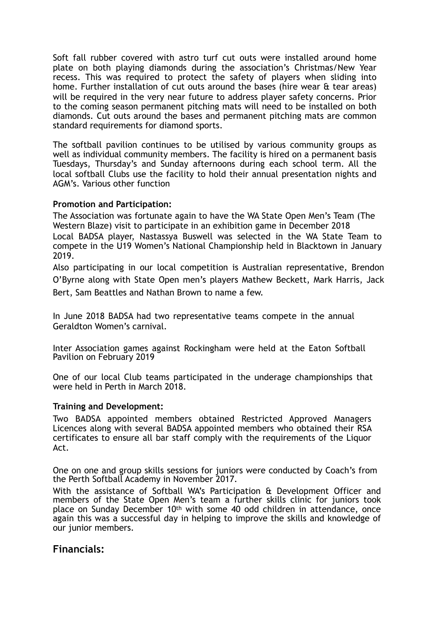Soft fall rubber covered with astro turf cut outs were installed around home plate on both playing diamonds during the association's Christmas/New Year recess. This was required to protect the safety of players when sliding into home. Further installation of cut outs around the bases (hire wear & tear areas) will be required in the very near future to address player safety concerns. Prior to the coming season permanent pitching mats will need to be installed on both diamonds. Cut outs around the bases and permanent pitching mats are common standard requirements for diamond sports.

The softball pavilion continues to be utilised by various community groups as well as individual community members. The facility is hired on a permanent basis Tuesdays, Thursday's and Sunday afternoons during each school term. All the local softball Clubs use the facility to hold their annual presentation nights and AGM's. Various other function

#### **Promotion and Participation:**

The Association was fortunate again to have the WA State Open Men's Team (The Western Blaze) visit to participate in an exhibition game in December 2018 Local BADSA player, Nastassya Buswell was selected in the WA State Team to compete in the U19 Women's National Championship held in Blacktown in January 2019.

Also participating in our local competition is Australian representative, Brendon O'Byrne along with State Open men's players Mathew Beckett, Mark Harris, Jack Bert, Sam Beattles and Nathan Brown to name a few.

In June 2018 BADSA had two representative teams compete in the annual Geraldton Women's carnival.

Inter Association games against Rockingham were held at the Eaton Softball Pavilion on February 2019

One of our local Club teams participated in the underage championships that were held in Perth in March 2018.

#### **Training and Development:**

Two BADSA appointed members obtained Restricted Approved Managers Licences along with several BADSA appointed members who obtained their RSA certificates to ensure all bar staff comply with the requirements of the Liquor Act.

One on one and group skills sessions for juniors were conducted by Coach's from the Perth Softball Academy in November 2017.

With the assistance of Softball WA's Participation & Development Officer and members of the State Open Men's team a further skills clinic for juniors took place on Sunday December 10th with some 40 odd children in attendance, once again this was a successful day in helping to improve the skills and knowledge of our junior members.

## **Financials:**